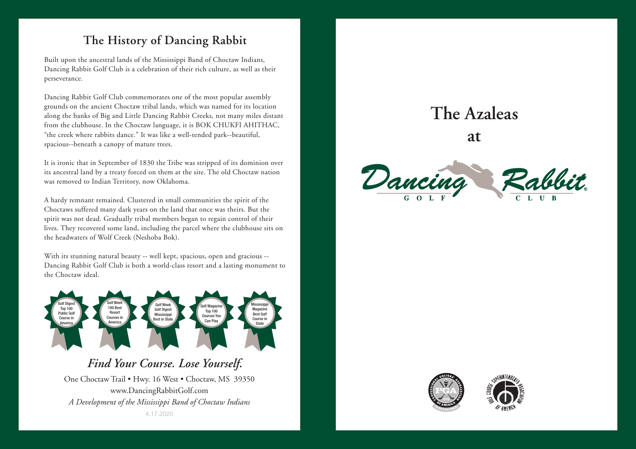## **The History of Dancing Rabbit**

Built upon the ancestral lands of the Mississippi Band of Choctaw Indians, Dancing Rabbit Golf Club is a celebration of their rich culture, as well as their perseverance.

Dancing Rabbit Golf Club commemorates one of the most popular assembly grounds on the ancient Choctaw tribal lands, which was named for its location along the banks of Big and Little Dancing Rabbit Creeks, not many miles distant from the clubhouse. In the Choctaw language, it is BOK CHUKFI AHITHAC, "the creek where rabbits dance." It was like a well-tended park--beautiful, spacious--beneath a canopy of mature trees.

It is ironic that in September of 1830 the Tribe was stripped of its dominion over its ancestral land by a treaty forced on them at the site. The old Choctaw nation was removed to Indian Territory, now Oklahoma.

A hardy remnant remained. Clustered in small communities the spirit of the Choctaws suffered many dark years on the land that once was theirs. But the spirit was not dead. Gradually tribal members began to regain control of their lives. They recovered some land, including the parcel where the clubhouse sits on the headwaters of Wolf Creek (Neshoba Bok).

With its stunning natural beauty -- well kept, spacious, open and gracious -- Dancing Rabbit Golf Club is both a world-class resort and a lasting monument to the Choctaw ideal.



## *Find Your Course. Lose Yourself.*

One Choctaw Trail • Hwy. 16 West • Choctaw, MS 39350 www.DancingRabbitGolf.com *A Development of the Mississippi Band of Choctaw Indians* 4.17.2020

## **The Azaleas**

**at**